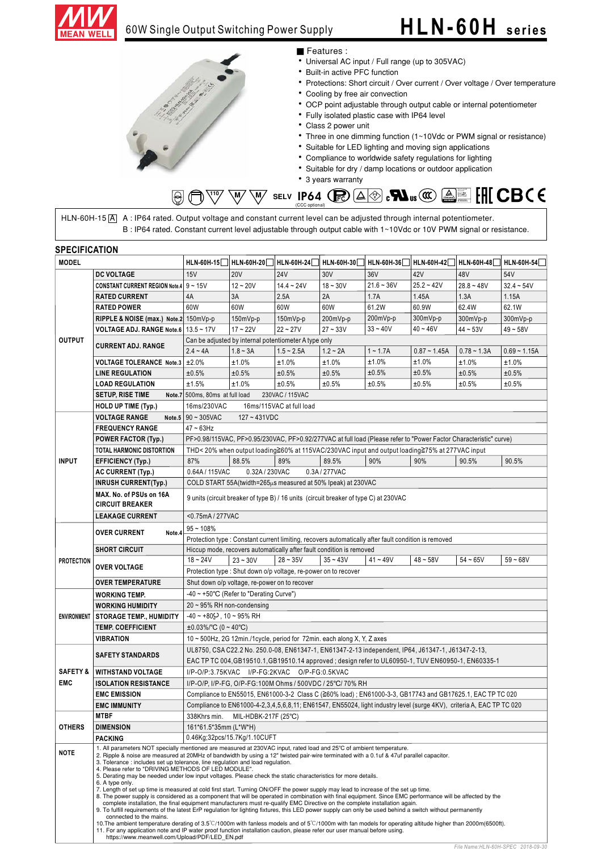

### **HLN-60H series**



#### ■ Features :

- Universal AC input / Full range (up to 305VAC)
- Built-in active PFC function
- Protections: Short circuit / Over current / Over voltage / Over temperature
- Cooling by free air convection
- OCP point adjustable through output cable or internal potentiometer
- Fully isolated plastic case with IP64 level
- Class 2 power unit
- Three in one dimming function (1~10Vdc or PWM signal or resistance)
- Suitable for LED lighting and moving sign applications
- Compliance to worldwide safety regulations for lighting
- Suitable for dry / damp locations or outdoor application
- 3 years warranty

#### $\overline{\mathbb{W}}$   $\overline{\mathbb{W}}$  selv **IP64**  $\bigoplus$   $\Delta$   $\otimes$   $\mathbf{M}$   $\mathbb{W}$   $\mathbb{W}$   $\overline{\mathbb{W}}$  $\circledS$ (CCC optional)

HLN-60H-15 ${\rm [A]}$   $\;$  A : IP64 rated. Output voltage and constant current level can be adjusted through internal potentiometer. B: IP64 rated. Constant current level adjustable through output cable with 1~10Vdc or 10V PWM signal or resistance.

|                     | <b>SPECIFICATION</b>                                                                                                                                |                                                                                                                                                                                                                                                                                                                                                                                                                                                                                                                                                                                                                                                                                                                                                                                                                                                                                                                                                                                                                                                                                                                                                                                                                                                                                                                                                             |                       |                                                       |                                                           |                                                                                                                       |                   |                   |                   |  |  |  |  |
|---------------------|-----------------------------------------------------------------------------------------------------------------------------------------------------|-------------------------------------------------------------------------------------------------------------------------------------------------------------------------------------------------------------------------------------------------------------------------------------------------------------------------------------------------------------------------------------------------------------------------------------------------------------------------------------------------------------------------------------------------------------------------------------------------------------------------------------------------------------------------------------------------------------------------------------------------------------------------------------------------------------------------------------------------------------------------------------------------------------------------------------------------------------------------------------------------------------------------------------------------------------------------------------------------------------------------------------------------------------------------------------------------------------------------------------------------------------------------------------------------------------------------------------------------------------|-----------------------|-------------------------------------------------------|-----------------------------------------------------------|-----------------------------------------------------------------------------------------------------------------------|-------------------|-------------------|-------------------|--|--|--|--|
| <b>MODEL</b>        |                                                                                                                                                     | <b>HLN-60H-15</b>                                                                                                                                                                                                                                                                                                                                                                                                                                                                                                                                                                                                                                                                                                                                                                                                                                                                                                                                                                                                                                                                                                                                                                                                                                                                                                                                           |                       | HLN-60H-20 HLN-60H-24                                 | <b>HLN-60H-30</b>                                         | HLN-60H-36                                                                                                            | <b>HLN-60H-42</b> | <b>HLN-60H-48</b> | <b>HLN-60H-54</b> |  |  |  |  |
|                     | <b>DC VOLTAGE</b>                                                                                                                                   | 15V                                                                                                                                                                                                                                                                                                                                                                                                                                                                                                                                                                                                                                                                                                                                                                                                                                                                                                                                                                                                                                                                                                                                                                                                                                                                                                                                                         | <b>20V</b>            | <b>24V</b>                                            | 30V                                                       | 36V                                                                                                                   | 42V               | 48V               | 54V               |  |  |  |  |
|                     | CONSTANT CURRENT REGION Note.4 9~15V                                                                                                                |                                                                                                                                                                                                                                                                                                                                                                                                                                                                                                                                                                                                                                                                                                                                                                                                                                                                                                                                                                                                                                                                                                                                                                                                                                                                                                                                                             | $12 - 20V$            | $14.4 - 24V$                                          | $18 - 30V$                                                | $21.6 - 36V$                                                                                                          | $25.2 - 42V$      | $28.8 - 48V$      | $32.4 - 54V$      |  |  |  |  |
|                     | <b>RATED CURRENT</b>                                                                                                                                | 4A                                                                                                                                                                                                                                                                                                                                                                                                                                                                                                                                                                                                                                                                                                                                                                                                                                                                                                                                                                                                                                                                                                                                                                                                                                                                                                                                                          | 3A                    | 2.5A                                                  | 2A                                                        | 1.7A                                                                                                                  | 1.45A             | 1.3A              | 1.15A             |  |  |  |  |
|                     | <b>RATED POWER</b>                                                                                                                                  | 60W                                                                                                                                                                                                                                                                                                                                                                                                                                                                                                                                                                                                                                                                                                                                                                                                                                                                                                                                                                                                                                                                                                                                                                                                                                                                                                                                                         | 60W                   | 60W                                                   | 60W                                                       | 61.2W                                                                                                                 | 60.9W             | 62.4W             | 62.1W             |  |  |  |  |
|                     | RIPPLE & NOISE (max.) Note.2 150mVp-p                                                                                                               |                                                                                                                                                                                                                                                                                                                                                                                                                                                                                                                                                                                                                                                                                                                                                                                                                                                                                                                                                                                                                                                                                                                                                                                                                                                                                                                                                             | 150mVp-p              | 150mVp-p                                              | 200mVp-p                                                  | 200mVp-p                                                                                                              | 300mVp-p          | 300mVp-p          | 300mVp-p          |  |  |  |  |
|                     | VOLTAGE ADJ. RANGE Note.6   13.5 ~ 17V                                                                                                              |                                                                                                                                                                                                                                                                                                                                                                                                                                                                                                                                                                                                                                                                                                                                                                                                                                                                                                                                                                                                                                                                                                                                                                                                                                                                                                                                                             | $17 - 22V$            | $22 - 27V$                                            | $27 - 33V$                                                | $33 - 40V$                                                                                                            | $40 - 46V$        | $44 - 53V$        | $49 - 58V$        |  |  |  |  |
| <b>OUTPUT</b>       |                                                                                                                                                     |                                                                                                                                                                                                                                                                                                                                                                                                                                                                                                                                                                                                                                                                                                                                                                                                                                                                                                                                                                                                                                                                                                                                                                                                                                                                                                                                                             |                       | Can be adjusted by internal potentiometer A type only |                                                           |                                                                                                                       |                   |                   |                   |  |  |  |  |
|                     | <b>CURRENT ADJ. RANGE</b>                                                                                                                           | $2.4 - 4A$                                                                                                                                                                                                                                                                                                                                                                                                                                                                                                                                                                                                                                                                                                                                                                                                                                                                                                                                                                                                                                                                                                                                                                                                                                                                                                                                                  | $1.8 - 3A$            | $1.5 - 2.5A$                                          | $1.2 - 2A$                                                | $1 - 1.7A$                                                                                                            | $0.87 - 1.45A$    | $0.78 - 1.3A$     | $0.69 - 1.15A$    |  |  |  |  |
|                     | <b>VOLTAGE TOLERANCE Note.3</b>                                                                                                                     | ±2.0%                                                                                                                                                                                                                                                                                                                                                                                                                                                                                                                                                                                                                                                                                                                                                                                                                                                                                                                                                                                                                                                                                                                                                                                                                                                                                                                                                       | ±1.0%                 | ±1.0%                                                 | ±1.0%                                                     | ±1.0%                                                                                                                 | ±1.0%             | ±1.0%             | ±1.0%             |  |  |  |  |
|                     | <b>LINE REGULATION</b>                                                                                                                              | ±0.5%                                                                                                                                                                                                                                                                                                                                                                                                                                                                                                                                                                                                                                                                                                                                                                                                                                                                                                                                                                                                                                                                                                                                                                                                                                                                                                                                                       | ±0.5%                 | ±0.5%                                                 | ±0.5%                                                     | ±0.5%                                                                                                                 | ±0.5%             | ±0.5%             | ±0.5%             |  |  |  |  |
|                     | <b>LOAD REGULATION</b>                                                                                                                              | ±1.5%                                                                                                                                                                                                                                                                                                                                                                                                                                                                                                                                                                                                                                                                                                                                                                                                                                                                                                                                                                                                                                                                                                                                                                                                                                                                                                                                                       | ±1.0%                 | ±0.5%                                                 | ±0.5%                                                     | ±0.5%                                                                                                                 | ±0.5%             | ±0.5%             | ±0.5%             |  |  |  |  |
|                     | <b>SETUP, RISE TIME</b>                                                                                                                             | Note.7 500ms, 80ms at full load                                                                                                                                                                                                                                                                                                                                                                                                                                                                                                                                                                                                                                                                                                                                                                                                                                                                                                                                                                                                                                                                                                                                                                                                                                                                                                                             |                       | 230VAC / 115VAC                                       |                                                           |                                                                                                                       |                   |                   |                   |  |  |  |  |
|                     | <b>HOLD UP TIME (Typ.)</b>                                                                                                                          | 16ms/230VAC                                                                                                                                                                                                                                                                                                                                                                                                                                                                                                                                                                                                                                                                                                                                                                                                                                                                                                                                                                                                                                                                                                                                                                                                                                                                                                                                                 |                       | 16ms/115VAC at full load                              |                                                           |                                                                                                                       |                   |                   |                   |  |  |  |  |
|                     | <b>VOLTAGE RANGE</b>                                                                                                                                | Note.5 90~305VAC<br>$127 - 431VDC$                                                                                                                                                                                                                                                                                                                                                                                                                                                                                                                                                                                                                                                                                                                                                                                                                                                                                                                                                                                                                                                                                                                                                                                                                                                                                                                          |                       |                                                       |                                                           |                                                                                                                       |                   |                   |                   |  |  |  |  |
|                     | <b>FREQUENCY RANGE</b>                                                                                                                              | $47 - 63$ Hz                                                                                                                                                                                                                                                                                                                                                                                                                                                                                                                                                                                                                                                                                                                                                                                                                                                                                                                                                                                                                                                                                                                                                                                                                                                                                                                                                |                       |                                                       |                                                           |                                                                                                                       |                   |                   |                   |  |  |  |  |
|                     | <b>POWER FACTOR (Typ.)</b>                                                                                                                          |                                                                                                                                                                                                                                                                                                                                                                                                                                                                                                                                                                                                                                                                                                                                                                                                                                                                                                                                                                                                                                                                                                                                                                                                                                                                                                                                                             |                       |                                                       |                                                           | PF>0.98/115VAC, PF>0.95/230VAC, PF>0.92/277VAC at full load (Please refer to "Power Factor Characteristic" curve)     |                   |                   |                   |  |  |  |  |
|                     | TOTAL HARMONIC DISTORTION                                                                                                                           |                                                                                                                                                                                                                                                                                                                                                                                                                                                                                                                                                                                                                                                                                                                                                                                                                                                                                                                                                                                                                                                                                                                                                                                                                                                                                                                                                             |                       |                                                       |                                                           | THD< 20% when output loading≧60% at 115VAC/230VAC input and output loading≧75% at 277VAC input                        |                   |                   |                   |  |  |  |  |
| <b>INPUT</b>        | <b>EFFICIENCY (Typ.)</b>                                                                                                                            | 87%                                                                                                                                                                                                                                                                                                                                                                                                                                                                                                                                                                                                                                                                                                                                                                                                                                                                                                                                                                                                                                                                                                                                                                                                                                                                                                                                                         | 88.5%                 | 89%                                                   | 89.5%                                                     | 90%                                                                                                                   | 90%               | 90.5%             | 90.5%             |  |  |  |  |
|                     | <b>AC CURRENT (Typ.)</b>                                                                                                                            | 0.64A/115VAC                                                                                                                                                                                                                                                                                                                                                                                                                                                                                                                                                                                                                                                                                                                                                                                                                                                                                                                                                                                                                                                                                                                                                                                                                                                                                                                                                |                       |                                                       |                                                           |                                                                                                                       |                   |                   |                   |  |  |  |  |
|                     | <b>INRUSH CURRENT(Typ.)</b>                                                                                                                         | 0.32A / 230VAC<br>0.3A / 277VAC<br>COLD START 55A(twidth=265µs measured at 50% Ipeak) at 230VAC                                                                                                                                                                                                                                                                                                                                                                                                                                                                                                                                                                                                                                                                                                                                                                                                                                                                                                                                                                                                                                                                                                                                                                                                                                                             |                       |                                                       |                                                           |                                                                                                                       |                   |                   |                   |  |  |  |  |
|                     | MAX. No. of PSUs on 16A<br><b>CIRCUIT BREAKER</b>                                                                                                   | 9 units (circuit breaker of type B) / 16 units (circuit breaker of type C) at 230VAC                                                                                                                                                                                                                                                                                                                                                                                                                                                                                                                                                                                                                                                                                                                                                                                                                                                                                                                                                                                                                                                                                                                                                                                                                                                                        |                       |                                                       |                                                           |                                                                                                                       |                   |                   |                   |  |  |  |  |
|                     | <b>LEAKAGE CURRENT</b>                                                                                                                              | <0.75mA / 277VAC                                                                                                                                                                                                                                                                                                                                                                                                                                                                                                                                                                                                                                                                                                                                                                                                                                                                                                                                                                                                                                                                                                                                                                                                                                                                                                                                            |                       |                                                       |                                                           |                                                                                                                       |                   |                   |                   |  |  |  |  |
|                     |                                                                                                                                                     |                                                                                                                                                                                                                                                                                                                                                                                                                                                                                                                                                                                                                                                                                                                                                                                                                                                                                                                                                                                                                                                                                                                                                                                                                                                                                                                                                             |                       |                                                       |                                                           |                                                                                                                       |                   |                   |                   |  |  |  |  |
|                     | <b>OVER CURRENT</b><br>Note.4<br><b>SHORT CIRCUIT</b>                                                                                               | $95 - 108%$<br>Protection type : Constant current limiting, recovers automatically after fault condition is removed                                                                                                                                                                                                                                                                                                                                                                                                                                                                                                                                                                                                                                                                                                                                                                                                                                                                                                                                                                                                                                                                                                                                                                                                                                         |                       |                                                       |                                                           |                                                                                                                       |                   |                   |                   |  |  |  |  |
|                     |                                                                                                                                                     | Hiccup mode, recovers automatically after fault condition is removed                                                                                                                                                                                                                                                                                                                                                                                                                                                                                                                                                                                                                                                                                                                                                                                                                                                                                                                                                                                                                                                                                                                                                                                                                                                                                        |                       |                                                       |                                                           |                                                                                                                       |                   |                   |                   |  |  |  |  |
| <b>PROTECTION</b>   |                                                                                                                                                     | $18 - 24V$                                                                                                                                                                                                                                                                                                                                                                                                                                                                                                                                                                                                                                                                                                                                                                                                                                                                                                                                                                                                                                                                                                                                                                                                                                                                                                                                                  | $23 \sim 30 \text{V}$ | $28 - 35V$                                            | $35 - 43V$                                                | $41 - 49V$                                                                                                            | $48 - 58V$        | $54 - 65V$        | $59 - 68V$        |  |  |  |  |
|                     | <b>OVER VOLTAGE</b>                                                                                                                                 |                                                                                                                                                                                                                                                                                                                                                                                                                                                                                                                                                                                                                                                                                                                                                                                                                                                                                                                                                                                                                                                                                                                                                                                                                                                                                                                                                             |                       |                                                       |                                                           |                                                                                                                       |                   |                   |                   |  |  |  |  |
|                     | <b>OVER TEMPERATURE</b>                                                                                                                             | Protection type : Shut down o/p voltage, re-power on to recover<br>Shut down o/p voltage, re-power on to recover                                                                                                                                                                                                                                                                                                                                                                                                                                                                                                                                                                                                                                                                                                                                                                                                                                                                                                                                                                                                                                                                                                                                                                                                                                            |                       |                                                       |                                                           |                                                                                                                       |                   |                   |                   |  |  |  |  |
|                     |                                                                                                                                                     | -40 ~ +50°C (Refer to "Derating Curve")                                                                                                                                                                                                                                                                                                                                                                                                                                                                                                                                                                                                                                                                                                                                                                                                                                                                                                                                                                                                                                                                                                                                                                                                                                                                                                                     |                       |                                                       |                                                           |                                                                                                                       |                   |                   |                   |  |  |  |  |
|                     | <b>WORKING TEMP.</b>                                                                                                                                |                                                                                                                                                                                                                                                                                                                                                                                                                                                                                                                                                                                                                                                                                                                                                                                                                                                                                                                                                                                                                                                                                                                                                                                                                                                                                                                                                             |                       |                                                       |                                                           |                                                                                                                       |                   |                   |                   |  |  |  |  |
|                     | <b>WORKING HUMIDITY</b>                                                                                                                             | $20 \sim 95\%$ RH non-condensing                                                                                                                                                                                                                                                                                                                                                                                                                                                                                                                                                                                                                                                                                                                                                                                                                                                                                                                                                                                                                                                                                                                                                                                                                                                                                                                            |                       |                                                       |                                                           |                                                                                                                       |                   |                   |                   |  |  |  |  |
| <b>ENVIRONMENT</b>  | <b>STORAGE TEMP., HUMIDITY</b>                                                                                                                      | $-40 \sim +80$ ( $\geq$ , 10 ~ 95% RH                                                                                                                                                                                                                                                                                                                                                                                                                                                                                                                                                                                                                                                                                                                                                                                                                                                                                                                                                                                                                                                                                                                                                                                                                                                                                                                       |                       |                                                       |                                                           |                                                                                                                       |                   |                   |                   |  |  |  |  |
|                     | <b>TEMP. COEFFICIENT</b>                                                                                                                            | $\pm 0.03\%$ °C (0 ~ 40°C)                                                                                                                                                                                                                                                                                                                                                                                                                                                                                                                                                                                                                                                                                                                                                                                                                                                                                                                                                                                                                                                                                                                                                                                                                                                                                                                                  |                       |                                                       |                                                           |                                                                                                                       |                   |                   |                   |  |  |  |  |
|                     | <b>VIBRATION</b>                                                                                                                                    | 10 ~ 500Hz, 2G 12min./1cycle, period for 72min. each along X, Y, Z axes                                                                                                                                                                                                                                                                                                                                                                                                                                                                                                                                                                                                                                                                                                                                                                                                                                                                                                                                                                                                                                                                                                                                                                                                                                                                                     |                       |                                                       |                                                           |                                                                                                                       |                   |                   |                   |  |  |  |  |
|                     | <b>SAFETY STANDARDS</b>                                                                                                                             | UL8750, CSA C22.2 No. 250.0-08, EN61347-1, EN61347-2-13 independent, IP64, J61347-1, J61347-2-13,                                                                                                                                                                                                                                                                                                                                                                                                                                                                                                                                                                                                                                                                                                                                                                                                                                                                                                                                                                                                                                                                                                                                                                                                                                                           |                       |                                                       |                                                           |                                                                                                                       |                   |                   |                   |  |  |  |  |
|                     |                                                                                                                                                     | EAC TP TC 004, GB19510.1, GB19510.14 approved; design refer to UL60950-1, TUV EN60950-1, EN60335-1                                                                                                                                                                                                                                                                                                                                                                                                                                                                                                                                                                                                                                                                                                                                                                                                                                                                                                                                                                                                                                                                                                                                                                                                                                                          |                       |                                                       |                                                           |                                                                                                                       |                   |                   |                   |  |  |  |  |
| <b>SAFETY &amp;</b> | <b>WITHSTAND VOLTAGE</b>                                                                                                                            |                                                                                                                                                                                                                                                                                                                                                                                                                                                                                                                                                                                                                                                                                                                                                                                                                                                                                                                                                                                                                                                                                                                                                                                                                                                                                                                                                             |                       | I/P-O/P:3.75KVAC I/P-FG:2KVAC O/P-FG:0.5KVAC          |                                                           |                                                                                                                       |                   |                   |                   |  |  |  |  |
| <b>EMC</b>          | <b>ISOLATION RESISTANCE</b>                                                                                                                         |                                                                                                                                                                                                                                                                                                                                                                                                                                                                                                                                                                                                                                                                                                                                                                                                                                                                                                                                                                                                                                                                                                                                                                                                                                                                                                                                                             |                       |                                                       | I/P-O/P, I/P-FG, O/P-FG:100M Ohms / 500VDC / 25°C/ 70% RH |                                                                                                                       |                   |                   |                   |  |  |  |  |
|                     | <b>EMC EMISSION</b>                                                                                                                                 |                                                                                                                                                                                                                                                                                                                                                                                                                                                                                                                                                                                                                                                                                                                                                                                                                                                                                                                                                                                                                                                                                                                                                                                                                                                                                                                                                             |                       |                                                       |                                                           | Compliance to EN55015, EN61000-3-2 Class C (≧60% load); EN61000-3-3, GB17743 and GB17625.1, EAC TP TC 020             |                   |                   |                   |  |  |  |  |
|                     | <b>EMC IMMUNITY</b>                                                                                                                                 |                                                                                                                                                                                                                                                                                                                                                                                                                                                                                                                                                                                                                                                                                                                                                                                                                                                                                                                                                                                                                                                                                                                                                                                                                                                                                                                                                             |                       |                                                       |                                                           | Compliance to EN61000-4-2,3,4,5,6,8,11; EN61547, EN55024, light industry level (surge 4KV), criteria A, EAC TP TC 020 |                   |                   |                   |  |  |  |  |
|                     | <b>MTBF</b>                                                                                                                                         | MIL-HDBK-217F (25°C)<br>338Khrs min.                                                                                                                                                                                                                                                                                                                                                                                                                                                                                                                                                                                                                                                                                                                                                                                                                                                                                                                                                                                                                                                                                                                                                                                                                                                                                                                        |                       |                                                       |                                                           |                                                                                                                       |                   |                   |                   |  |  |  |  |
| <b>OTHERS</b>       | <b>DIMENSION</b>                                                                                                                                    | 161*61.5*35mm (L*W*H)                                                                                                                                                                                                                                                                                                                                                                                                                                                                                                                                                                                                                                                                                                                                                                                                                                                                                                                                                                                                                                                                                                                                                                                                                                                                                                                                       |                       |                                                       |                                                           |                                                                                                                       |                   |                   |                   |  |  |  |  |
|                     | <b>PACKING</b>                                                                                                                                      | 0.46Kg;32pcs/15.7Kg/1.10CUFT                                                                                                                                                                                                                                                                                                                                                                                                                                                                                                                                                                                                                                                                                                                                                                                                                                                                                                                                                                                                                                                                                                                                                                                                                                                                                                                                |                       |                                                       |                                                           |                                                                                                                       |                   |                   |                   |  |  |  |  |
| <b>NOTE</b>         | 4. Please refer to "DRIVING METHODS OF LED MODULE".<br>6. A type only.<br>connected to the mains.<br>https://www.meanwell.com/Upload/PDF/LED_EN.pdf | 1. All parameters NOT specially mentioned are measured at 230VAC input, rated load and 25°C of ambient temperature.<br>2. Ripple & noise are measured at 20MHz of bandwidth by using a 12" twisted pair-wire terminated with a 0.1uf & 47uf parallel capacitor.<br>3. Tolerance : includes set up tolerance, line regulation and load regulation.<br>5. Derating may be needed under low input voltages. Please check the static characteristics for more details.<br>7. Length of set up time is measured at cold first start. Turning ON/OFF the power supply may lead to increase of the set up time.<br>8. The power supply is considered as a component that will be operated in combination with final equipment. Since EMC performance will be affected by the<br>complete installation, the final equipment manufacturers must re-qualify EMC Directive on the complete installation again.<br>9. To fulfill requirements of the latest ErP regulation for lighting fixtures, this LED power supply can only be used behind a switch without permanently<br>10. The ambient temperature derating of 3.5°C/1000m with fanless models and of 5°C/1000m with fan models for operating altitude higher than 2000m(6500ft).<br>11. For any application note and IP water proof function installation caution, please refer our user manual before using. |                       |                                                       |                                                           |                                                                                                                       |                   |                   |                   |  |  |  |  |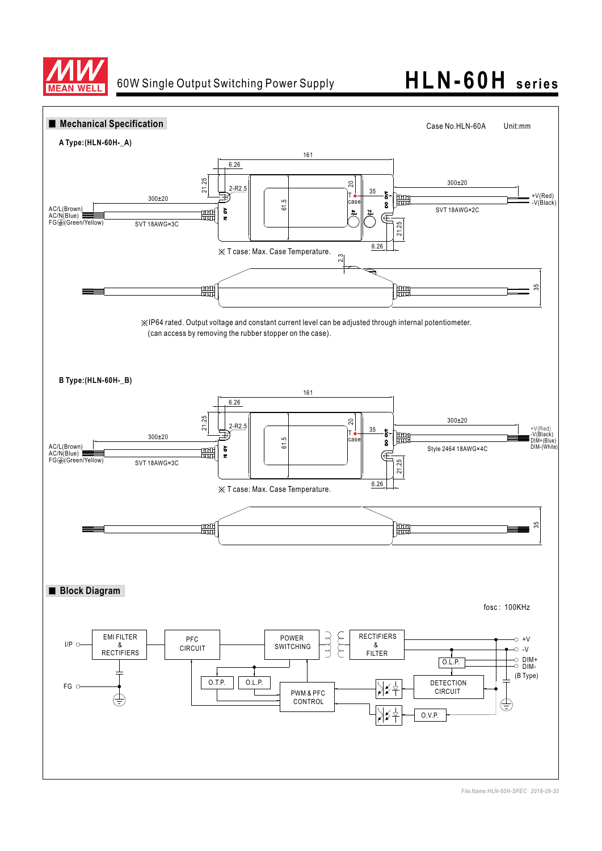

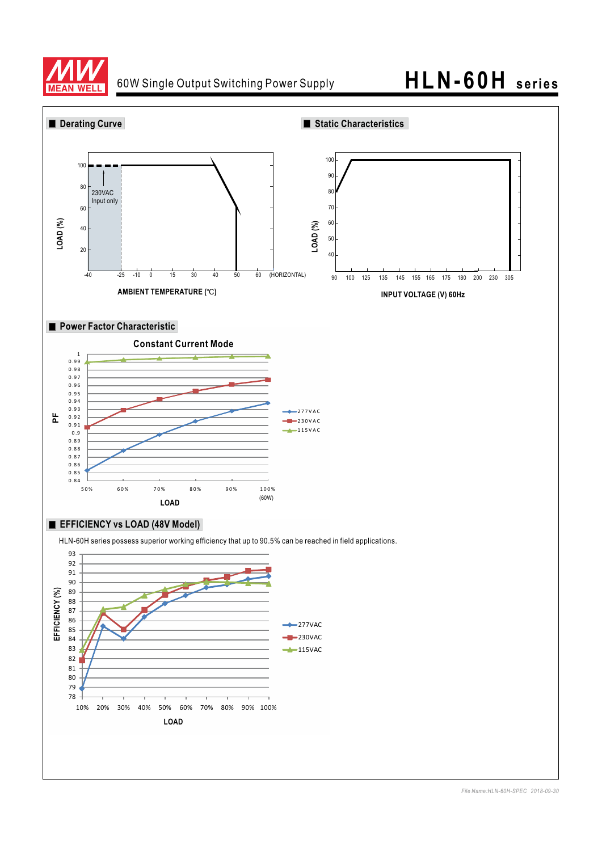

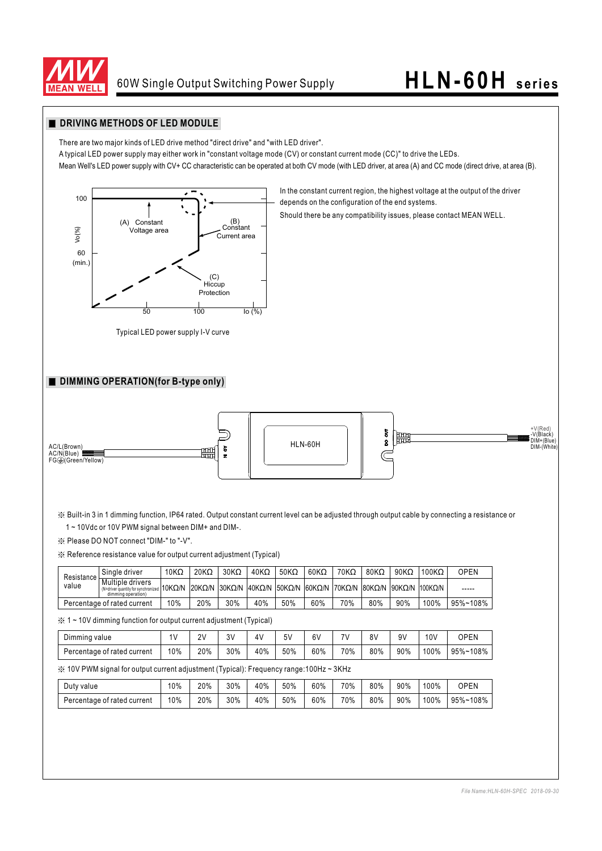

In the constant current region, the highest voltage at the output of the driver

Should there be any compatibility issues, please contact MEAN WELL.

depends on the configuration of the end systems.

#### **DRIVING METHODS OF LED MODULE**

There are two major kinds of LED drive method "direct drive" and "with LED driver".

A typical LED power supply may either work in "constant voltage mode (CV) or constant current mode (CC)" to drive the LEDs.

Mean Well's LED power supply with CV+ CC characteristic can be operated at both CV mode (with LED driver, at area (A) and CC mode (direct drive, at area (B).



Typical LED power supply I-V curve

#### **DIMMING OPERATION(for B-type only)**



※ Built-in 3 in 1 dimming function, IP64 rated. Output constant current level can be adjusted through output cable by connecting a resistance or 1 ~ 10Vdc or 10V PWM signal between DIM+ and DIM-.

※ Please DO NOT connect "DIM-" to "-V".

※ Reference resistance value for output current adjustment (Typical)

| Resistance<br>value         | Single driver                                                                                     | 10 $K\Omega$ | $20K\Omega$ | $30K\Omega$ | $40K\Omega$ | $50K\Omega$ | $60K\Omega$ | $70K\Omega$ | $80K\Omega$ | $90K\Omega$ | $100K\Omega$                                                    | OPEN     |
|-----------------------------|---------------------------------------------------------------------------------------------------|--------------|-------------|-------------|-------------|-------------|-------------|-------------|-------------|-------------|-----------------------------------------------------------------|----------|
|                             | Multiple drivers<br>$\frac{1}{2}$ M=driver quantity for synchronized 10KQ/N<br>dimming operation) |              |             |             |             |             |             |             |             |             | 20KQ/N 30KQ/N 40KQ/N 50KQ/N 60KQ/N 70KQ/N 80KQ/N 90KQ/N 100KQ/N | -----    |
| Percentage of rated current |                                                                                                   | 10%          | 20%         | 30%         | 40%         | 50%         | 60%         | 70%         | 80%         | 90%         | 100%                                                            | 95%~108% |

※ 1 ~ 10V dimming function for output current adjustment (Typical)

| Dimming value               | 41  | 2V<br>. . | 3V  | 4V  | 5V  | 6V  | 71/ | 8 V | 9٧  | 10V  | OPEN     |
|-----------------------------|-----|-----------|-----|-----|-----|-----|-----|-----|-----|------|----------|
| Percentage of rated current | 10% | 20%       | 30% | 40% | 50% | 60% | 70% | 80% | 90% | 100% | 95%~108% |
|                             |     |           |     |     |     |     |     |     |     |      |          |

※ 10V PWM signal for output current adjustment (Typical): Frequency range:100Hz ~ 3KHz

| Duty value                  | 10% | 20% | 30% | 40% | 50% | 60% | 70% | 80% | 90% | 100% | <b>OPEN</b> |
|-----------------------------|-----|-----|-----|-----|-----|-----|-----|-----|-----|------|-------------|
| Percentage of rated current | 10% | 20% | 30% | 40% | 50% | 60% | 70% | 80% | 90% | 100% | 95%~108%    |